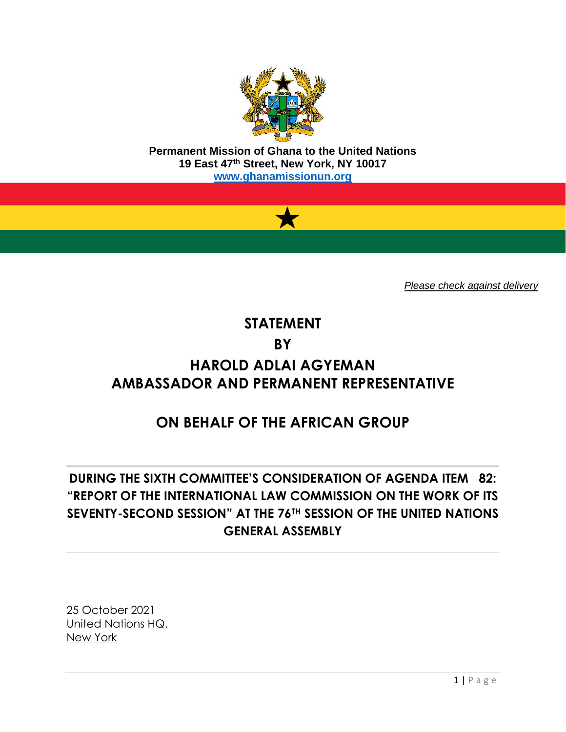

**Permanent Mission of Ghana to the United Nations 19 East 47th Street, New York, NY 10017 [www.ghanamissionun.org](http://www.ghanamissionun.org/)**



*Please check against delivery*

# **STATEMENT BY HAROLD ADLAI AGYEMAN AMBASSADOR AND PERMANENT REPRESENTATIVE**

# **ON BEHALF OF THE AFRICAN GROUP**

# **DURING THE SIXTH COMMITTEE'S CONSIDERATION OF AGENDA ITEM 82: "REPORT OF THE INTERNATIONAL LAW COMMISSION ON THE WORK OF ITS SEVENTY-SECOND SESSION" AT THE 76TH SESSION OF THE UNITED NATIONS GENERAL ASSEMBLY**

25 October 2021 United Nations HQ. New York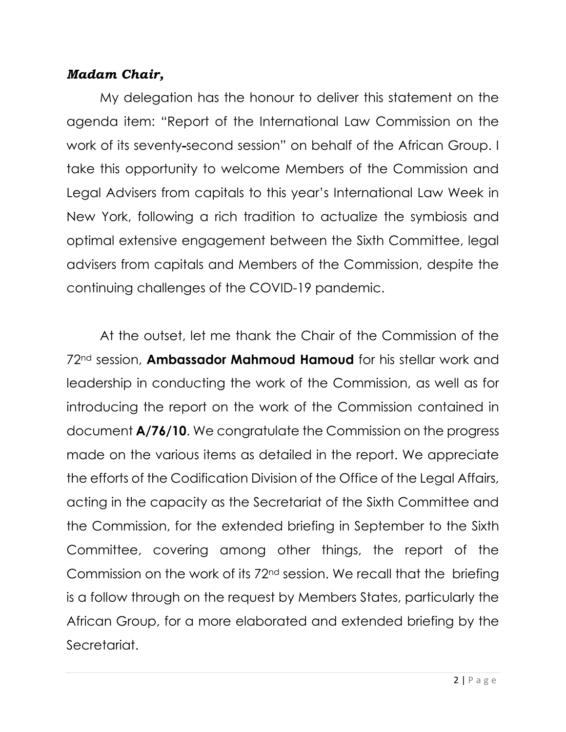#### *Madam Chair,*

My delegation has the honour to deliver this statement on the agenda item: "Report of the International Law Commission on the work of its seventy-second session" on behalf of the African Group. I take this opportunity to welcome Members of the Commission and Legal Advisers from capitals to this year's International Law Week in New York, following a rich tradition to actualize the symbiosis and optimal extensive engagement between the Sixth Committee, legal advisers from capitals and Members of the Commission, despite the continuing challenges of the COVID-19 pandemic.

At the outset, let me thank the Chair of the Commission of the 72nd session, **Ambassador Mahmoud Hamoud** for his stellar work and leadership in conducting the work of the Commission, as well as for introducing the report on the work of the Commission contained in document **A/76/10**. We congratulate the Commission on the progress made on the various items as detailed in the report. We appreciate the efforts of the Codification Division of the Office of the Legal Affairs, acting in the capacity as the Secretariat of the Sixth Committee and the Commission, for the extended briefing in September to the Sixth Committee, covering among other things, the report of the Commission on the work of its 72nd session. We recall that the briefing is a follow through on the request by Members States, particularly the African Group, for a more elaborated and extended briefing by the Secretariat.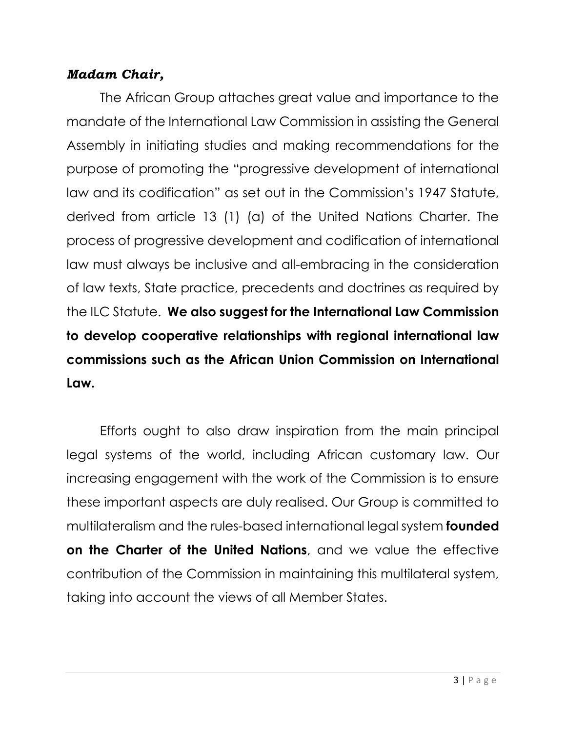#### *Madam Chair,*

The African Group attaches great value and importance to the mandate of the International Law Commission in assisting the General Assembly in initiating studies and making recommendations for the purpose of promoting the "progressive development of international law and its codification" as set out in the Commission's 1947 Statute, derived from article 13 (1) (a) of the United Nations Charter. The process of progressive development and codification of international law must always be inclusive and all-embracing in the consideration of law texts, State practice, precedents and doctrines as required by the ILC Statute. **We also suggest for the International Law Commission to develop cooperative relationships with regional international law commissions such as the African Union Commission on International Law.** 

Efforts ought to also draw inspiration from the main principal legal systems of the world, including African customary law. Our increasing engagement with the work of the Commission is to ensure these important aspects are duly realised. Our Group is committed to multilateralism and the rules-based international legal system **founded on the Charter of the United Nations**, and we value the effective contribution of the Commission in maintaining this multilateral system, taking into account the views of all Member States.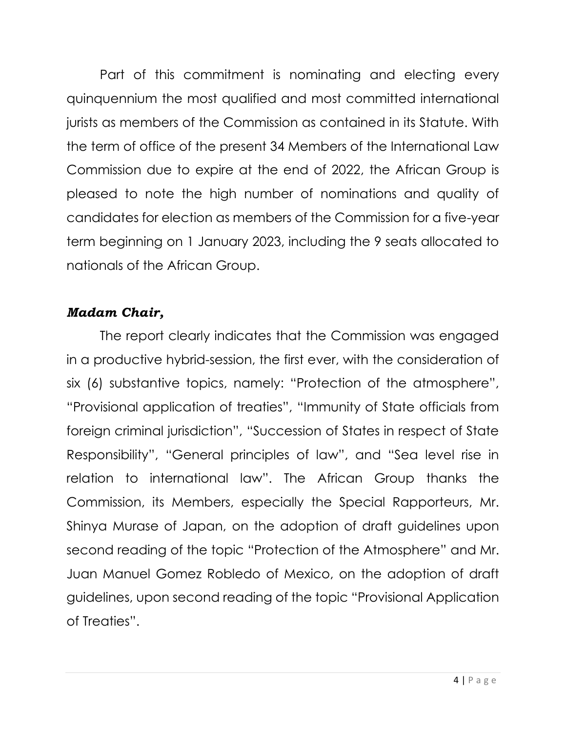Part of this commitment is nominating and electing every quinquennium the most qualified and most committed international jurists as members of the Commission as contained in its Statute. With the term of office of the present 34 Members of the International Law Commission due to expire at the end of 2022, the African Group is pleased to note the high number of nominations and quality of candidates for election as members of the Commission for a five-year term beginning on 1 January 2023, including the 9 seats allocated to nationals of the African Group.

### *Madam Chair,*

The report clearly indicates that the Commission was engaged in a productive hybrid-session, the first ever, with the consideration of six (6) substantive topics, namely: "Protection of the atmosphere", "Provisional application of treaties", "Immunity of State officials from foreign criminal jurisdiction", "Succession of States in respect of State Responsibility", "General principles of law", and "Sea level rise in relation to international law". The African Group thanks the Commission, its Members, especially the Special Rapporteurs, Mr. Shinya Murase of Japan, on the adoption of draft guidelines upon second reading of the topic "Protection of the Atmosphere" and Mr. Juan Manuel Gomez Robledo of Mexico, on the adoption of draft guidelines, upon second reading of the topic "Provisional Application of Treaties".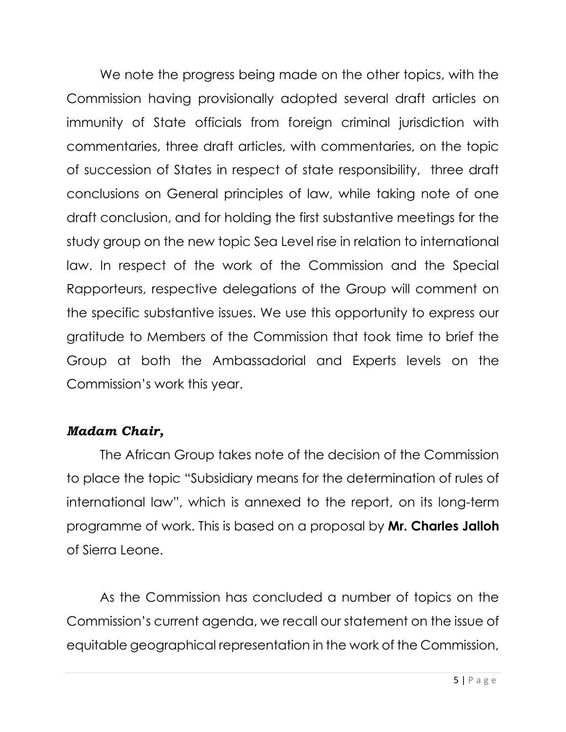We note the progress being made on the other topics, with the Commission having provisionally adopted several draft articles on immunity of State officials from foreign criminal jurisdiction with commentaries, three draft articles, with commentaries, on the topic of succession of States in respect of state responsibility, three draft conclusions on General principles of law, while taking note of one draft conclusion, and for holding the first substantive meetings for the study group on the new topic Sea Level rise in relation to international law. In respect of the work of the Commission and the Special Rapporteurs, respective delegations of the Group will comment on the specific substantive issues. We use this opportunity to express our gratitude to Members of the Commission that took time to brief the Group at both the Ambassadorial and Experts levels on the Commission's work this year.

### *Madam Chair,*

The African Group takes note of the decision of the Commission to place the topic "Subsidiary means for the determination of rules of international law", which is annexed to the report, on its long-term programme of work. This is based on a proposal by **Mr. Charles Jalloh** of Sierra Leone.

As the Commission has concluded a number of topics on the Commission's current agenda, we recall our statement on the issue of equitable geographical representation in the work of the Commission,